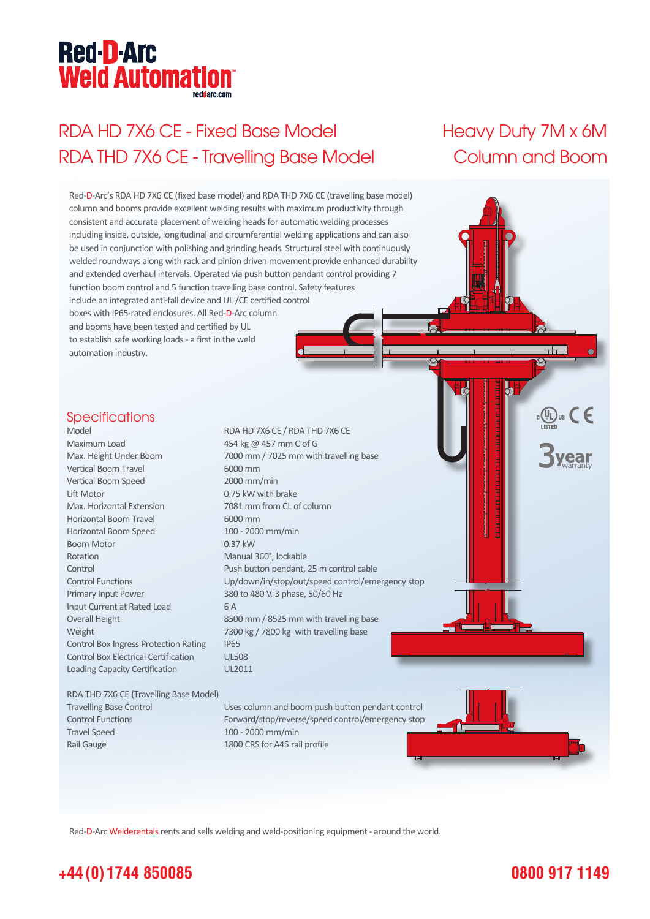# **Red-D-Arc Weld Automation®**

# RDA HD 7X6 CE - Fixed Base Model Heavy Duty 7M x 6M RDA THD 7X6 CE - Travelling Base Model Column and Boom



Red-D-Arc Welderentals rents and sells welding and weld-positioning equipment - around the world.

### **+44 (0) 1744 850085**

#### **0800 917 1149**